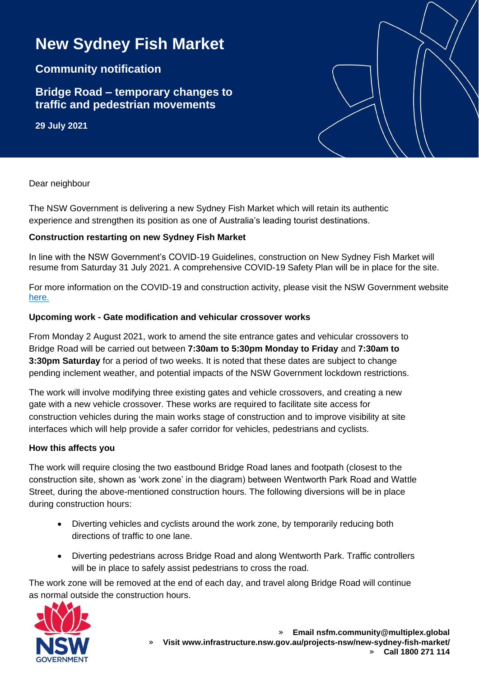# **New Sydney Fish Market**

## **Community notification**

## **Bridge Road – temporary changes to traffic and pedestrian movements**

**29 July 2021**

Dear neighbour

The NSW Government is delivering a new Sydney Fish Market which will retain its authentic experience and strengthen its position as one of Australia's leading tourist destinations.

#### **Construction restarting on new Sydney Fish Market**

In line with the NSW Government's COVID-19 Guidelines, construction on New Sydney Fish Market will resume from Saturday 31 July 2021. A comprehensive COVID-19 Safety Plan will be in place for the site.

For more information on the COVID-19 and construction activity, please visit the NSW Government website [here.](https://www.nsw.gov.au/covid-19/rules/greater-sydney#construction-activity-pause)

#### **Upcoming work - Gate modification and vehicular crossover works**

From Monday 2 August 2021, work to amend the site entrance gates and vehicular crossovers to Bridge Road will be carried out between **7:30am to 5:30pm Monday to Friday** and **7:30am to 3:30pm Saturday** for a period of two weeks. It is noted that these dates are subject to change pending inclement weather, and potential impacts of the NSW Government lockdown restrictions.

The work will involve modifying three existing gates and vehicle crossovers, and creating a new gate with a new vehicle crossover. These works are required to facilitate site access for construction vehicles during the main works stage of construction and to improve visibility at site interfaces which will help provide a safer corridor for vehicles, pedestrians and cyclists.

#### **How this affects you**

The work will require closing the two eastbound Bridge Road lanes and footpath (closest to the construction site, shown as 'work zone' in the diagram) between Wentworth Park Road and Wattle Street, during the above-mentioned construction hours. The following diversions will be in place during construction hours:

- Diverting vehicles and cyclists around the work zone, by temporarily reducing both directions of traffic to one lane.
- Diverting pedestrians across Bridge Road and along Wentworth Park. Traffic controllers will be in place to safely assist pedestrians to cross the road.

The work zone will be removed at the end of each day, and travel along Bridge Road will continue as normal outside the construction hours.